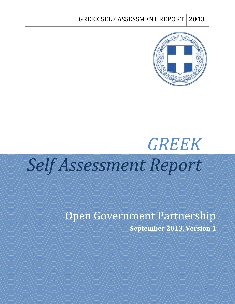

# *GREEK Self Assessment Report*

Open Government Partnership **September 2013, Version 1**

1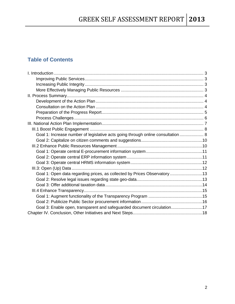## **Table of Contents**

| Goal 1: Increase number of legislative acts going through online consultation  8 |  |
|----------------------------------------------------------------------------------|--|
|                                                                                  |  |
|                                                                                  |  |
|                                                                                  |  |
|                                                                                  |  |
|                                                                                  |  |
|                                                                                  |  |
| Goal 1: Open data regarding prices, as collected by Prices Observatory 13        |  |
|                                                                                  |  |
|                                                                                  |  |
|                                                                                  |  |
|                                                                                  |  |
|                                                                                  |  |
| Goal 3: Enable open, transparent and safeguarded document circulation17          |  |
|                                                                                  |  |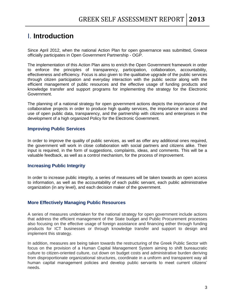# <span id="page-2-0"></span>I. **Introduction**

Since April 2012, when the national Action Plan for open governance was submitted, Greece officially participates in Open Government Partnership - OGP.

The implementation of this Action Plan aims to enrich the Open Government framework in order to enforce the principles of transparency, participation, collaboration, accountability, effectiveness and efficiency. Focus is also given to the qualitative upgrade of the public services through citizen participation and everyday interaction with the public sector along with the efficient management of public resources and the effective usage of funding products and knowledge transfer and support programs for implementing the strategy for the Electronic Government.

The planning of a national strategy for open government actions depicts the importance of the collaborative projects in order to produce high quality services, the importance in access and use of open public data, transparency, and the partnership with citizens and enterprises in the development of a high organized Policy for the Electronic Government.

#### <span id="page-2-1"></span>**Improving Public Services**

In order to improve the quality of public services, as well as offer any additional ones required, the government will work in close collaboration with social partners and citizens alike. Their input is required, in the form of suggestions, complaints, ideas, and comments. This will be a valuable feedback, as well as a control mechanism, for the process of improvement.

#### <span id="page-2-2"></span>**Increasing Public Integrity**

In order to increase public integrity, a series of measures will be taken towards an open access to information, as well as the accountability of each public servant, each public administrative organization (in any level), and each decision maker of the government.

#### <span id="page-2-3"></span>**More Effectively Managing Public Resources**

A series of measures undertaken for the national strategy for open government include actions that address the efficient management of the State budget and Public Procurement processes also focusing on the effective usage of foreign assistance and financing either through funding products for ICT businesses or through knowledge transfer and support to design and implement this strategy.

In addition, measures are being taken towards the restructuring of the Greek Public Sector with focus on the provision of a Human Capital Management System aiming to shift bureaucratic culture to citizen-oriented culture, cut down on budget costs and administrative burden deriving from disproportionate organizational structures, coordinate in a uniform and transparent way all human capital management policies and develop public servants to meet current citizens' needs.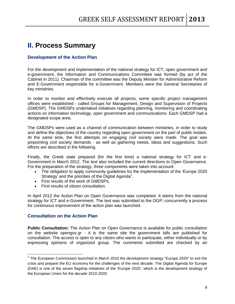# <span id="page-3-0"></span>**II. Process Summary**

#### <span id="page-3-1"></span>**Development of the Action Plan**

For the development and implementation of the national strategy for ICT, open government and e-government, the Information and Communications Committee was formed (by act of the Cabinet in 2011). Chairman of the committee was the Deputy Minister for Administrative Reform and E-Government responsible for e-Government. Members were the General Secretaries of key ministries.

In order to monitor and effectively execute all projects, some specific project management offices were established - called Groups for Management, Design and Supervision of Projects (GMDSP). The GMDSPs undertaked initiatives regarding planning, monitoring and coordinating actions on information technology, open government and communications. Each GMDSP had a designated scope area.

The GMDSPs were used as a channel of communication between ministries, in order to study and define the objectives of the country regarding open government on the part of public bodies. At the same time, the first attempts on engaging civil society were made. The goal was pinpointing civil society demands - as well as gathering needs, ideas and suggestions. Such efforts are described in the following.

Finally, the Greek state prepared (for the first time) a national strategy for ICT and e-Government in March 2012. The text also included the current directions to Open Governance. For the preparation of the strategy, three components were taken into account:

- The obligation to apply community guidelines for the implementation of the 'Europe 2020 Strategy' and the priorities of the Digital Agenda<sup>1</sup>,
- First results of the work of GMDSPs,
- **First results of citizen consultation.**

In April 2012 the Action Plan on Open Governance was completed. It stems from the national strategy for ICT and e-Government. The text was submitted to the OGP; concurrently a process for continuous improvement of the action plan was launched.

#### <span id="page-3-2"></span>**Consultation on the Action Plan**

 $\overline{a}$ 

**Public Consultation:** The Action Plan on Open Governance is available for public consultation on the website opengov.gr - it is the same site the government bills are published for consultation. The access is open to any citizen who wants to participate, either individually or by expressing opinions of organized group. The comments submitted are checked by an

 $1$  The European Commission launched in March 2010 the development strategy "Europe 2020" to exit the crisis and prepare the EU economy for the challenges of the next decade. The Digital Agenda for Europe (DAE) is one of the seven flagship initiatives of the 'Europe 2020', which is the development strategy of the European Union for the decade 2010-2020.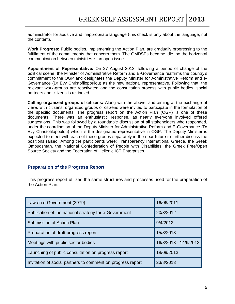administrator for abusive and inappropriate language (this check is only about the language, not the content).

**Work Progress:** Public bodies, implementing the Action Plan, are gradually progressing to the fulfillment of the commitments that concern them. The GMDSPs became idle, so the horizontal communication between ministries is an open issue.

**Appointment of Representative:** On 27 August 2013, following a period of change of the political scene, the Minister of Administrative Reform and E-Governance reaffirms the country's commitment to the OGP and designates the Deputy Minister for Administrative Reform and e-Governance (Dr Evy Christofilopoulou) as the new national representative. Following that, the relevant work-groups are reactivated and the consultation process with public bodies, social partners and citizens is rekindled.

**Calling organized groups of citizens:** Along with the above, and aiming at the exchange of views with citizens, organized groups of citizens were invited to participate in the formulation of the specific documents. The progress report on the Action Plan (OGP) is one of these documents. There was an enthusiastic response, as nearly everyone involved offered suggestions. This was followed by a roundtable discussion of all stakeholders who responded, under the coordination of the Deputy Minister for Administrative Reform and E-Governance (Dr Evy Christofilopoulou) which is the designated representative in OGP. The Deputy Minister is expected to meet with each of these groups separately in the near future to further discuss the positions raised. Among the participants were: Transparency International Greece, the Greek Ombudsman, the National Confederation of People with Disabilities, the Greek Free/Open Source Society and the Federation of Hellenic ICT Enterprises.

#### <span id="page-4-0"></span>**Preparation of the Progress Report**

This progress report utilized the same structures and processes used for the preparation of the Action Plan.

| Law on e-Government (3979)                                  | 16/06/2011            |
|-------------------------------------------------------------|-----------------------|
| Publication of the national strategy for e-Government       | 20/3/2012             |
| Submission of Action Plan                                   | 9/4/2012              |
| Preparation of draft progress report                        | 15/8/2013             |
| Meetings with public sector bodies                          | 16/8/2013 - 14/9/2013 |
| Launching of public consultation on progress report         | 18/09/2013            |
| Invitation of social partners to comment on progress report | 23/8/2013             |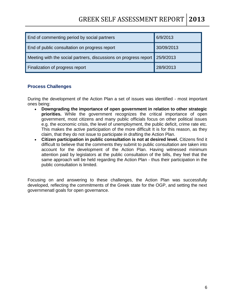# GREEK SELF ASSESSMENT REPORT **2013**

| End of commenting period by social partners                                | 6/9/2013   |
|----------------------------------------------------------------------------|------------|
| End of public consultation on progress report                              | 30/09/2013 |
| Meeting with the social partners, discussions on progress report 25/9/2013 |            |
| Finalization of progress report                                            | 28/9/2013  |

#### <span id="page-5-0"></span>**Process Challenges**

During the development of the Action Plan a set of issues was identified - most important ones being:

- **Downgrading the importance of open government in relation to other strategic priorities.** While the government recognizes the critical importance of open government, most citizens and many public officials focus on other political issues e.g. the economic crisis, the level of unemployment, the public deficit, crime rate etc. This makes the active participation of the more difficult It is for this reason, as they claim, that they do not issue to participate in drafting the Action Plan.
- **Citizen participation in public consultation is not at desired level.** Citizens find it difficult to believe that the comments they submit to public consultation are taken into account for the development of the Action Plan. Having witnessed minimum attention paid by legislators at the public consultation of the bills, they feel that the same approach will be held regarding the Action Plan - thus their participation in the public consultation is limited.

Focusing on and answering to these challenges, the Action Plan was successfully developed, reflecting the commitments of the Greek state for the OGP, and setting the next governmenatl goals for open governance.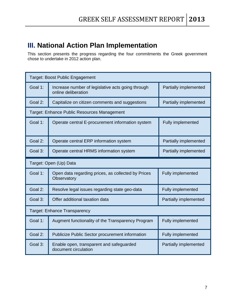# <span id="page-6-0"></span>**III. National Action Plan Implementation**

This section presents the progress regarding the four commitments the Greek government chose to undertake in 2012 action plan.

|                        | Target: Boost Public Engagement                                          |                              |
|------------------------|--------------------------------------------------------------------------|------------------------------|
| Goal 1:                | Increase number of legislative acts going through<br>online deliberation | Partially implemented        |
| Goal 2:                | Capitalize on citizen comments and suggestions                           | Partially implemented        |
|                        | Target: Enhance Public Resources Management                              |                              |
| Goal 1:                | Operate central E-procurement information system                         | <b>Fully implemented</b>     |
| Goal 2:                | Operate central ERP information system                                   | Partially implemented        |
| Goal 3:                | Operate central HRMS information system                                  | Partially implemented        |
| Target: Open (Up) Data |                                                                          |                              |
|                        |                                                                          |                              |
| Goal 1:                | Open data regarding prices, as collected by Prices<br>Observatory        | <b>Fully implemented</b>     |
| Goal 2:                | Resolve legal issues regarding state geo-data                            | <b>Fully implemented</b>     |
| Goal 3:                | Offer additional taxation data                                           | <b>Partially implemented</b> |
|                        | <b>Target: Enhance Transparency</b>                                      |                              |
| Goal 1:                | Augment functionality of the Transparency Program                        | <b>Fully implemented</b>     |
| Goal 2:                | Publicize Public Sector procurement information                          | <b>Fully implemented</b>     |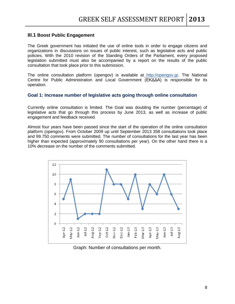#### <span id="page-7-0"></span>**III.1 Boost Public Engagement**

The Greek government has initiated the use of online tools in order to engage citizens and organizations in discussions on issues of public interest, such as legislative acts and public policies. With the 2010 revision of the Standing Orders of the Parliament, every proposed legislation submitted must also be accompanied by a report on the results of the public consultation that took place prior to this submission.

The online consultation platform (opengov) is available at [http://opengov.gr.](http://opengov.gr/) The National Centre for Public Administration and Local Government (ΕΚΔΔΑ) is responsible for its operation.

#### <span id="page-7-1"></span>**Goal 1: Increase number of legislative acts going through online consultation**

Currently online consultation is limited. The Goal was doubling the number (percentage) of legislative acts that go through this process by June 2013, as well as increase of public engagement and feedback received.

Almost four years have been passed since the start of the operation of the online consultation platform (opengov). From October 2009 up until September 2013 358 consultations took place and 99.750 comments were submitted. The number of consultations for the last year has been higher than expected (approximately 90 consultations per year). On the other hand there is a 10% decrease on the number of the comments submitted.



Graph: Number of consultations per month.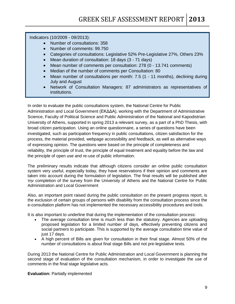Indicators (10/2009 - 09/2013):

- Number of consultations: 358
- Number of comments: 99.750
- Categories of consultations: Legislative 52% Pre-Legislative 27%, Others 23%
- Mean duration of consultation: 18 days (3 71 days)
- Mean number of comments per consultation: 278 (0 13.741 comments)
- Median of the number of comments per Consultation: 80
- Mean number of consultations per month: 7.5 (1 11 months), declining during July and August
- Network of Consultation Managers: 87 administrators as representatives of institutions.

In order to evaluate the public consultations system, the National Centre for Public Administration and Local Government (ΕΚΔΔΑ), working with the Department of Administrative Science, Faculty of Political Science and Public Administration of the National and Kapodistrian University of Athens, supported in spring 2013 a relevant survey, as a part of a PhD Thesis, with broad citizen participation. Using an online questionnaire, a series of questions have been investigated, such as participation frequency in public consultations, citizen satisfaction for the process, the material provided, webpage accessibility and feedback, as well as alternative ways of expressing opinion. The questions were based on the principle of completeness and reliability, the principle of trust, the principle of equal treatment and equality before the law and the principle of open use and re-use of public information.

The preliminary results indicate that although citizens consider an online public consultation system very useful, especially today, they have reservations if their opinion and comments are taken into account during the formulation of legislation. The final results will be published after την completion of the survey from the University of Athens and the National Centre for Public Administration and Local Government

Also, an important point raised during the public consultation on the present progress report, is the exclusion of certain groups of persons with disability from the consultation process since the e-consultation platform has not implemented the necessary accessibility procedures and tools.

It is also important to underline that during the implementation of the consultation process:

- The average consultation time is much less than the statutory. Agencies are uploading proposed legislation for a limited number of days, effectively preventing citizens and social partners to participate. This is supported by the average consultation time value of just 17 days.
- A high percent of Bills are given for consultation in their final stage. Almost 50% of the number of consultations is about final stage Bills and not pre-legislative texts.

During 2013 the National Centre for Public Administration and Local Government is planning the second stage of evaluation of the consultation mechanism, in order to investigate the use of comments in the final stage legislative acts.

**Evaluation:** Partially implemented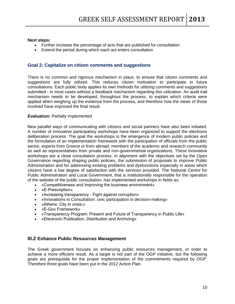#### **Next steps:**

- Further increase the percentage of acts that are published for consultation
- Extend the period during which each act enters consultation

#### <span id="page-9-0"></span>**Goal 2: Capitalize on citizen comments and suggestions**

There is no common and rigorous mechanism in place, to ensure that citizen comments and suggestions are fully utilized. This reduces citizen motivation to participate in future consultations. Each public body applies its own methods for utilizing comments and suggestions submitted - in most cases without a feedback mechanism regarding this utilization. An audit trail mechanism needs to be developed, throughout the process, to explain which criteria were applied when weighing up the evidence from the process, and therefore how the views of those involved have improved the final result.

#### **Evaluation:** Partially implemented

Νew parallel ways of communicating with citizens and social partners have also been initiated. A number of innovative participatory workshops have been organized to support the electronix deliberation process. The goal the workshops is the emergence of modern public policies and the formulation of an implementation framework with the participation of officials from the public sector, experts from Greece or from abroad, members of the academic and research community as well as representatives from private and non-governmental organizations. These innovative workshops are a close consultation process, in alignment with the objectives set by the Open Governance regarding shaping public policies, the submission of proposals to improve Public Administration and for addressing existing problems and dysfunctions especially in areas which citizens have a low degree of satisfaction with the services provided. The National Centre for Public Administration and Local Government, that is institutionally responsible for the operation of the website of the public consultation, has implemented workshops in fields as:

- «Competitiveness and Improving the business environment»
- «E-Prescription»
- «Increasing transparency Fight against corruption»
- «Innovations in Consultation: civic participation in decision-making»
- «Athens: City in crisis;»
- «E-Gov Framework»
- «Transparency Program: Present and Future of Transparency in Public Life»
- «Electronic Publication, Distribution and Archiving»

#### <span id="page-9-1"></span>**III.2 Enhance Public Resources Management**

The Greek government focuses on enhancing public resources management, in order to achieve a more efficient result. As a target is not part of the OGP initiative, but the following goals are prerequisite for the proper implementation of the commitments required by OGP. Therefore three goals have been put in the 2012 Action Plan.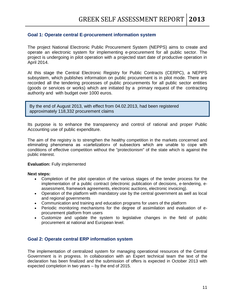#### <span id="page-10-0"></span>**Goal 1: Operate central E-procurement information system**

The project National Electronic Public Procurement System (NEPPS) aims to create and operate an electronic system for implementing e-procurement for all public sector. The project is undergoing in pilot operation with a projected start date of productive operation in April 2014.

At this stage the Central Electronic Registry for Public Contracts (CERPC), a NEPPS subsystem, which publishes information on public procurement is in pilot mode. There are recorded all the tendering processes of public procurements for all public sector entities (goods or services or works) which are initiated by a primary request of the contracting authority and with budget over 1000 euros.

By the end of August 2013, with effect from 04.02.2013, had been registered approximately 118,332 procurement claims

Its purpose is to enhance the transparency and control of rational and proper Public Accounting use of public expenditure.

The aim of the registry is to strengthen the healthy competition in the markets concerned and eliminating phenomena as «cartelization» of subsectors which are unable to cope with conditions of effective competition without the "protectionism" of the state which is against the public interest.

#### **Evaluation:** Fully implemented

#### **Next steps:**

- Completion of the pilot operation of the various stages of the tender process for the implementation of a public contract (electronic publication of decisions, e-tendering, eassessment, framework agreements, electronic auctions, electronic invoicing).
- Operation of the platform with mandatory use by the central government as well as local and regional governments
- Communication and training and education programs for users of the platform
- Periodic monitoring mechanisms for the degree of assimilation and evaluation of eprocurement platform from users
- Customize and update the system to legislative changes in the field of public procurement at national and European level.

#### <span id="page-10-1"></span>**Goal 2: Operate central ERP information system**

The implementation of centralized system for managing operational resources of the Central Government is in progress. In collaboration with an Expert technical team the text of the declaration has been finalized and the submission of offers is expected in October 2013 with expected completion in two years – by the end of 2015.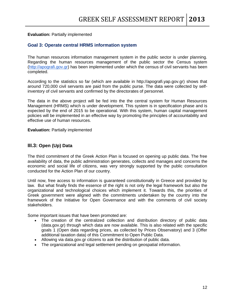#### <span id="page-11-0"></span>**Evaluation:** Partially implemented

#### **Goal 3: Operate central HRMS information system**

The human resources information management system in the public sector is under planning. Regarding the human resources management of the public sector the Census system [\(http://apografi.gov.gr\)](http://www.apografi.gov.gr/) has been implemented under which the census of civil servants has been completed.

According to the statistics so far (which are available in http://apografi.yap.gov.gr) shows that around 720,000 civil servants are paid from the public purse. The data were collected by selfinventory of civil servants and confirmed by the directorates of personnel.

The data in the above project will be fed into the the central system for Human Resources Management (HRMS) which is under development. This system is in specification phase and is expected by the end of 2015 to be operational. With this system, human capital management policies will be implemented in an effective way by promoting the principles of accountability and effective use of human resources.

**Evaluation:** Partially implemented

#### <span id="page-11-1"></span>**III.3: Open (Up) Data**

The third commitment of the Greek Action Plan is focused on opening up public data. The free availability of data, the public administration generates, collects and manages and concerns the economic and social life of citizens, was very strongly supported by the public consultation conducted for the Action Plan of our country.

Until now, free access to information is guaranteed constitutionally in Greece and provided by law. But what finally finds the essence of the right is not only the legal framework but also the organizational and technological choices which implement it. Towards this, the priorities of Greek government were aligned with the commitments undertaken by the country into the framework of the Initiative for Open Governance and with the comments of civil society stakeholders.

Some important issues that have been promoted are:

- The creation of the centralized collection and distribution directory of public data (data.gov.gr) through which data are now available. This is also related with the specific goals 1 (Open data regarding prices, as collected by Prices Observatory) and 3 (Offer additional taxation data) of this Commitment to Open Public Data.
- Allowing via data.gov.gr citizens to ask the distribution of public data.
- The organizational and legal settlement pending on geospatial information.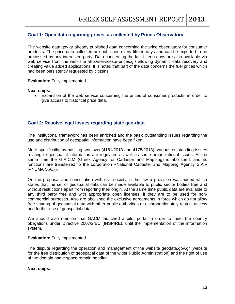#### <span id="page-12-0"></span>**Goal 1: Open data regarding prices, as collected by Prices Observatory**

The website data.gov.gr already published data concerning the price observatory for consumer products. The price data collected are published every fifteen days and can be exported to be processed by any interested party. Data concerning the last fifteen days are also available via web service from the web site http://services.e-prices.gr/ allowing dynamic data recovery and creating value added applications. It is noted that part of the data concerns the fuel prices which had been persistently requested by citizens.

#### **Evaluation:** Fully implemented

#### **Next steps:**

 Expansion of the web service concerning the prices of consumer products, in order to give access to historical price data.

#### <span id="page-12-1"></span>**Goal 2: Resolve legal issues regarding state geo-data**

The institutional framework has been enriched and the basic outstanding issues regarding the use and distribution of geospatial information have been fixed.

More specifically, by passing two laws (4161/2013 and 4178/2013), various outstanding issues relating to geospatial information are regulated as well as some organizational issues. At the same time the G.A.C.M (Greek Agency for Cadaster and Mapping) is abolished, and its functions are transferred to the corporation «National Cadaster and Mapping Agency S.A.» («NCMA S.A.»).

On the proposal and consultation with civil society in the law a provision was added which states that the set of geospatial data can be made available to public sector bodies free and without restrictions apart from reporting their origin. At the same time public data are available to any third party free and with appropriate open licenses, if they are to be used for noncommercial purposes. Also are abolished the exclusive agreements in force which do not allow free sharing of geospatial data with other public authorities or disproportionately restrict access and further use of geospatial data.

We should also mention that GACM launched a pilot portal in order to meet the country obligations under Directive 2007/2/EC (INSPIRE), until the implementation of the information system.

#### **Evaluation:** Fully implemented

The dispute regarding the operation and management of the website geodata.gov.gr (website for the free distribution of geospatial data of the wider Public Administration) and the right of use of the domain name space remain pending.

#### **Next steps:**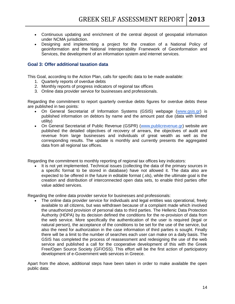- Continuous updating and enrichment of the central deposit of geospatial information under NCMA jurisdiction.
- Designing and implementing a project for the creation of a National Policy of geoinformation and the National Interoperability Framework of Geoinformation and Services, the development of an information system and internet services.

#### <span id="page-13-0"></span>**Goal 3: Offer additional taxation data**

This Goal, according to the Action Plan, calls for specific data to be made available:

- 1. Quarterly reports of overdue debts
- 2. Monthly reports of progress indicators of regional tax offices
- 3. Online data provider service for businesses and professionals.

Regarding the commitment to report quarterly overdue debts figures for overdue debts these are published in two points:

- On General Secretariat of Information Systems (GSIS) webpage [\(www.gsis.gr\)](http://www.gsis.gr/) is published information on debtors by name and the amount past due (data with limited utility)
- On General Secretariat of Public Revenue (GSPR) [\(www.publicrevenue.gr\)](http://www.publicrevenue.gr/) website are published the detailed objectives of recovery of arrears, the objectives of audit and revenue from large businesses and individuals of great wealth as well as the corresponding results. The update is monthly and currently presents the aggregated data from all regional tax offices.

Regarding the commitment to monthly reporting of regional tax offices key indicators:

 It is not yet implemented. Technical issues (collecting the data of the primary sources in a specific format to be stored in database) have not allowed it. The data also are expected to be offered in the future in editable format (.xls), while the ultimate goal is the creation and distribution of interconnected open data sets, to enable third parties offer value added services.

Regarding the online data provider service for businesses and professionals:

 The online data provider service for individuals and legal entities was operational, freely available to all citizens, but was withdrawn because of a complaint made which involved the unauthorized provision of personal data to third parties. The Hellenic Data Protection Authority (HDPA) by its decision defined the conditions for the re-provision of data from the web service. More specifically the authentication of the user is required (legal or natural person), the acceptance of the conditions to be set for the use of the service, but also the need for authorization in the case information of third parties is sought. Finally there will be a limit to the number of searches each user can make on a daily basis. The GSIS has completed the process of reassessment and redesigning the use of the web service and published a call for the cooperative development of this with the Greek Free/Open Source Society (GF/OSS). This effort will be the first action of participatory development of e-Government web services in Greece.

Apart from the above, additional steps have been taken in order to make available the open public data: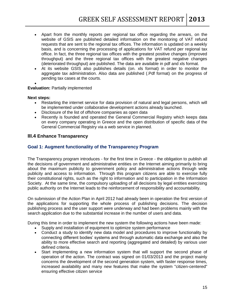- Apart from the monthly reports per regional tax office regarding the arrears, on the website of GSIS are published detailed information on the monitoring of VAT refund requests that are sent to the regional tax offices. The information is updated on a weekly basis, and is concerning the processing of applications for VAT refund per regional tax office. In fact, the three regional tax offices with the greatest positive changes (improved throughput) and the three regional tax offices with the greatest negative changes (deteriorated throughput) are published. The data are available in pdf and xls format.
- At its website GSIS also publishes details (on. xls format) in order to monitor the aggregate tax administration. Also data are published (.Pdf format) on the progress of pending tax cases at the courts.
- $\bullet$

#### **Evaluation:** Partially implemented

#### **Next steps:**

- Restarting the internet service for data provision of natural and legal persons, which will be implemented under collaborative development actions already launched.
- Disclosure of the list of offshore companies as open data
- Recently is founded and operated the General Commercial Registry which keeps data on every company operating in Greece and the open distribution of specific data of the General Commercial Registry via a web service in planned.

#### <span id="page-14-1"></span><span id="page-14-0"></span>**III.4 Enhance Transparency**

#### **Goal 1: Augment functionality of the Transparency Program**

The Transparency program introduces - for the first time in Greece - the obligation to publish all the decisions of government and administrative entities on the Internet aiming primarily to bring about the maximum publicity to government policy and administrative actions through wide publicity and access to information. Through this program citizens are able to exercise fully their constitutional rights, such as the right to information and to participation in the Information Society. At the same time, the compulsory uploading of all decisions by legal entities exercising public authority on the Internet leads to the reinforcement of responsibility and accountability.

On submission of the Action Plan in April 2012 had already been in operation the first version of the applications for supporting the whole process of publishing decisions. The decision publishing process and the user support were underway and had been problems mainly with the search application due to the substantial increase in the number of users and data.

During this time in order to implement the new system the following actions have been made:

- Supply and installation of equipment to optimize system performance
- Conduct a study to identify new data model and procedures to improve functionality by connecting different bodies' systems and through automatic data exchange and also the ability to more effective search and reporting (aggregated and detailed) by various user defined criteria.
- Start implementing a new information system that will support the second phase of operation of the action. The contract was signed on 01/03/2013 and the project mainly concerns the development of the second generation system, with faster response times, increased availability and many new features that make the system "citizen-centered" ensuring effective citizen service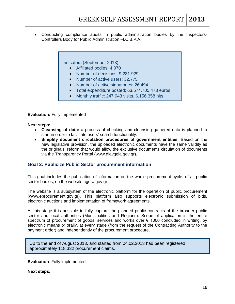Conducting compliance audits in public administration bodies by the Inspectors-Controllers Body for Public Administration –I.C.B.P.A.

Indicators (September 2013):

- Affiliated bodies: 4.070
- Number of decisions: 9.231.929
- Number of active users: 32.775
- Number of active signatories: 26.494
- Total expenditure posted: 63.574.705.473 euros
- Monthly traffic: 247.043 visits, 6.156.358 hits

**Evaluation:** Fully implemented

#### **Next steps:**

- **Cleansing of data:** a process of checking and cleansing gathered data is planned to start in order to facilitate users' search functionality.
- **Simplify document circulation procedures of government entities**: Based on the new legislative provision, the uploaded electronic documents have the same validity as the originals, reform that would allow the exclusive documents circulation of documents via the Transparency Portal (www.diavgeia.gov.gr).

#### <span id="page-15-0"></span>**Goal 2: Publicize Public Sector procurement information**

This goal includes the publication of information on the whole procurement cycle, of all public sector bodies, on the website agora.gov.gr.

The website is a subsystem of the electronic platform for the operation of public procurement (www.eprocurement.gov.gr). This platform also supports electronic submission of bids, electronic auctions and implementation of framework agreements.

At this stage it is possible to fully capture the planned public contracts of the broader public sector and local authorities (Municipalities and Regions). Scope of application is the entire spectrum of procurement of goods, services and works over  $\epsilon$  1000 concluded in writing, by electronic means or orally, at every stage (from the request of the Contracting Authority to the payment order) and independently of the procurement procedure.

Up to the end of August 2013, and started from 04.02.2013 had been registered approximately 118,332 procurement claims.

**Evaluation**: Fully implemented

**Next steps:**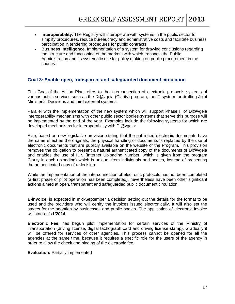- **Interoperability**. The Registry will interoperate with systems in the public sector to simplify procedures, reduce bureaucracy and administrative costs and facilitate business participation in tendering procedures for public contracts.
- **Business Intelligence.** Implementation of a system for drawing conclusions regarding the structure and functioning of the markets with which transacts the Public Administration and its systematic use for policy making on public procurement in the country.

#### <span id="page-16-0"></span>**Goal 3: Enable open, transparent and safeguarded document circulation**

This Goal of the Action Plan refers to the interconnection of electronic protocols systems of various public services such as the Di@vgeia (Clarity) program, the IT system for drafting Joint Ministerial Decisions and third external systems.

Parallel with the implementation of the new system which will support Phase II of Di@vgeia interoperability mechanisms with other public sector bodies systems that serve this purpose will be implemented by the end of the year. Examples include the following systems for which are developed mechanisms for interoperability with Di@vgeia:

Also, based on new legislative provision stating that the published electronic documents have the same effect as the originals, the physical handling of documents is replaced by the use of electronic documents that are publicly available on the website of the Program. This provision removes the obligation to present a natural authenticated copy of the documents of Di@vgeia and enables the use of IUN (Internet Uploading Number, which is given from the program Clarity in each uploading) which is unique, from individuals and bodies, instead of presenting the authenticated copy of a decision.

While the implementation of the interconnection of electronic protocols has not been completed (a first phase of pilot operation has been completed), nevertheless have been other significant actions aimed at open, transparent and safeguarded public document circulation.

**E-invoice**: is expected in mid-September a decision setting out the details for the format to be used and the providers who will certify the invoices issued electronically. It will also set the stages for the adoption by businesses and public bodies. The application of electronic invoice will start at 1/1/2014.

**Electronic Fee**: has begun pilot implementation for certain services of the Ministry of Transportation (driving license, digital tachograph card and driving license stamp). Gradually it will be offered for services of other agencies. This process cannot be opened for all the agencies at the same time, because it requires a specific role for the users of the agency in order to allow the check and binding of the electronic fee.

**Evaluation:** Partially implemented